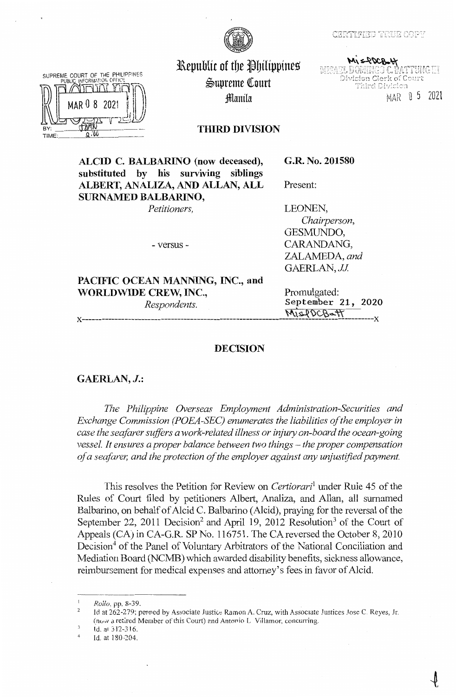### CERTIFIED TRUE COPY



SUPREME COURT OF THE PHILIPPINES **BY** TIME

Republic of the Philippines ~upreme lourt :fflanila

MISAEL DOMINGO C. BATTUNG III<br>MISAEL DOMINGO C. BATTUNG III<br>Division Clerk of Court Third Division MAR O 5 2021

**THIRD DIVISION** 

**ALCID C. BALBARLNO (now deceased), substituted by his surviving siblings ALBERT, ANALIZA, AND ALLAN, ALL SURNAMED BALBARINO,** 

**G.R. No. 201580** 

*Petitioners,* 

LEONEN,

Present:

- versus -

*Chairperson,*  GESMUNDO, CARANDANG, ZALAMEDA, *and*  GAERLAN, *JJ.* 

PACIFIC OCEAN MANNING, INC., and **WORLDWIDE CREW, INC.,** Promulgated:

*Respondents.* **September 21, 2020**  \-1\\~ti~-w **x-----------------------------------------------------------------------------------------x** 

# **DECISION**

**GAERLAN, J.:** 

The Philippine Overseas Employment Administration-Securities and *Exchange Commission (POEA-SEC) enumerates the liabilities of the employer in case the seafarer suffers a work-related illness or injury on-board the ocean-going vessel. It ensures a proper balance between two things – the proper compensation of a seafarer, and the protection of the employer against any unjustified payment.* 

This resolves the Petition for Review on *Certiorari*<sup>1</sup>under Rule 45 of the Rules of Court filed by petitioners Albert, Analiza, and Allan, all surnamed Balbarino, on behalf of Alcid C. Balbarino (Alcid), praying for the reversal of the September 22, 2011 Decision<sup>2</sup> and April 19, 2012 Resolution<sup>3</sup> of the Court of Appeals (CA) in CA-G.R. SP No. 116751. The CA reversed the October 8, 2010 Decision<sup>4</sup> of the Panel of Voluntary Arbitrators of the National Conciliation and Mediation Board (NCMB) which awarded disability benefits, sickness allowance, reimbursement for medical expenses and attorney's fees in favor of Alcid.

*Rollo.* pp. 8-39.

 $\overline{2}$ Id at 262-279; penned by Associate Justice Ramon A. Cruz, with Associate Justices Jose C. Reyes, Jr. ( $\text{now a retired Member of this Court}$ ) and Antonio L Villamor, concurring.

Id. al 312-316.

<sup>4</sup>  Id. at 180-204.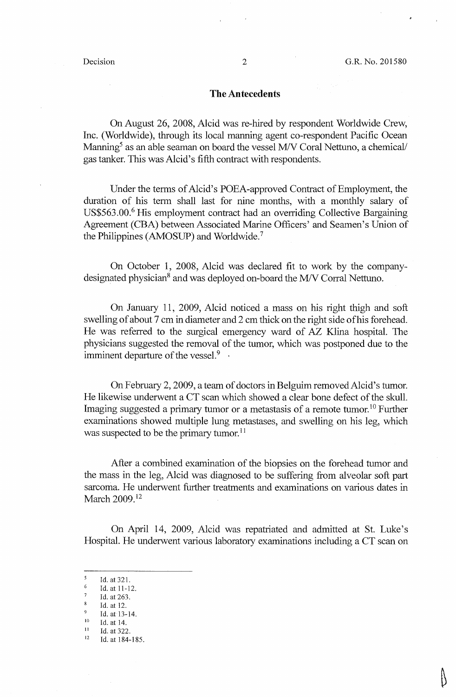### **The Antecedents**

On August 26, 2008, Alcid was re-hired by respondent Worldwide Crew, Inc. (Worldwide), through its local manning agent co-respondent Pacific Ocean Manning<sup>5</sup> as an able seaman on board the vessel M/V Coral Nettuno, a chemical/ gas tanker. This was Alcid's fifth contract with respondents.

Under the terms of Alcid's POEA-approved Contract of Employment, the duration of his tenn shall last for nine months, with a monthly salary of US\$563.00.<sup>6</sup> His employment contract had an overriding Collective Bargaining Agreement (CBA) between Associated Marine Officers' and Seamen's Union of the Philippines (AMOSUP) and Worldwide.7

On October **1,** 2008, Alcid was declared fit to work by the companydesignated physician<sup>8</sup> and was deployed on-board the M/V Corral Nettuno.

On January 11, 2009, Alcid noticed a mass on his right thigh and soft swelling of about 7 cm in diameter and *2* cm thick on the right side ofhis forehead. He was referred to the surgical emergency ward of *AZ* Klina hospital. The physicians suggested the removal of the tumor, which was postponed due to the imminent departure of the vessel. $9 \cdot$ 

On February 2, 2009, a team of doctors in Belguim removed Alcid's tumor. He likewise underwent a CT scan which showed a clear bone defect of the skull. Imaging suggested a primary tumor or a metastasis of a remote tumor.<sup>10</sup> Further examinations showed multiple lung metastases, and swelling on his leg, which was suspected to be the primary tumor.<sup>11</sup>

After a combined examination of the biopsies on the forehead tumor and the mass in the leg, Alcid was diagnosed to be suffering from alveolar soft part sarcoma. He underwent further treatments and examinations on various dates in March 2009.<sup>12</sup>

On April 14, 2009, Alcid was repatriated and admitted at St. Luke's Hospital. He underwent various laboratory examinations including a CT scan on

 $\frac{5}{6}$  Id. at 321.

Id. at 11-12.

 $\frac{7}{8}$  Id. at 263.

 $\frac{8}{9}$  Id. at 12.

<sup>9</sup> Id. at 13-14.<br>
<sup>10</sup> Id. at 14.<br>
<sup>11</sup> Id. at 322.<br>
<sup>12</sup> Id. at 184.18

<sup>12</sup> Id. at 184-185.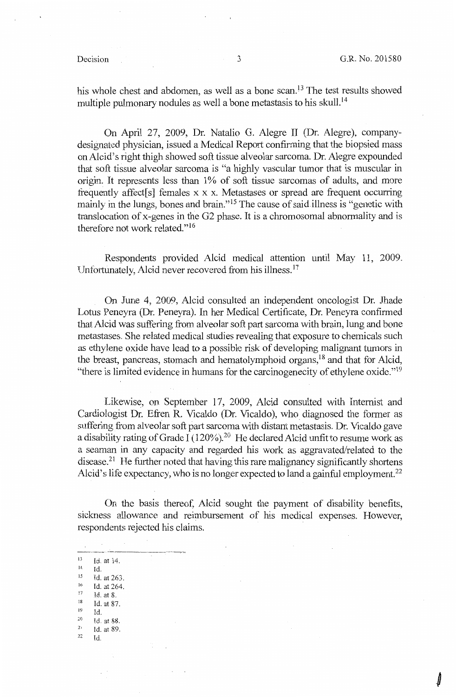$\int$ 

his whole chest and abdomen, as well as a bone scan.<sup>13</sup> The test results showed multiple pulmonary nodules as well a bone metastasis to his skull. <sup>14</sup>

On April 27, 2009, Dr. Natalio G. Alegre II (Dr. Alegre), companydesignated physician, issued a Medical Report confirming that the biopsied mass onAlcid's right thigh showed soft tissue alveolar sarcoma. Dr. Alegre expounded that soft tissue alveolar sarcoma is "a highly vascular tumor that is muscular in origin. It represents less than 1% of soft tissue sarcomas of adults, and more frequently affect[s] females  $x \times x$ . Metastases or spread are frequent occurring mainly in the lungs, bones and brain." 15 The cause of said illness is "genetic with translocation ofx-genes in the 02 phase. It is a chromosomal abnormality and is therefore not work related."<sup>16</sup>

Respondents provided Alcid medical attention until May 11, 2009. Unfortunatelv. Alcid never recovered from his illness.  $17$ 

On June 4, 2009, Alcid consulted an independent oncologist Dr. Jhade Lotus Peneyra (Dr. Peneyra). In her Medical Certificate, Dr. Peneyra confirmed that Alcid was suffering from alveolar soft part sarcoma with brain, lung and bone metastases. She related medical studies revealing that exposure to chemicals such as ethylene oxide have lead to a possible risk of developing malignant tumors in the breast, pancreas, stomach and hematolymphoid organs,  $18$  and that for Alcid, "there is limited evidence in humans for the carcinogenecity of ethylene oxide."<sup>19</sup>

Likewise, on September 17, 2009, Alcid consulted with Internist and Cardiologist Dr. Efren R. Vicaldo (Dr. Vicaldo), who diagnosed the former as suffering from alveolar soft part sarcoma with distant metastasis. Dr. Vicaldo gave a disability rating of Grade I (120%).<sup>20</sup> He declared Alcid unfit to resume work as a seaman in any capacity and regarded his work as aggravated/related to the disease.<sup>21</sup> He further noted that having this rare malignancy significantly shortens Alcid's life expectancy, who is no longer expected to land a gainful employment.<sup>22</sup>

On the basis thereof, Alcid sought the payment of disability benefits, sickness allowance and reimbursement of his medical expenses. However, respondents rejected his claims.

\_,  $13$  Id. at 14. Id.  $15$  Id. at 263.<br>  $16$  Id. at 264.  $\begin{array}{c} 17 \\ 18 \end{array}$ Id. at 8.  $^{18}$  Id. at 87.  $Id$  $\frac{20}{21}$  id. at 88. *22*  Id. at 89. ld.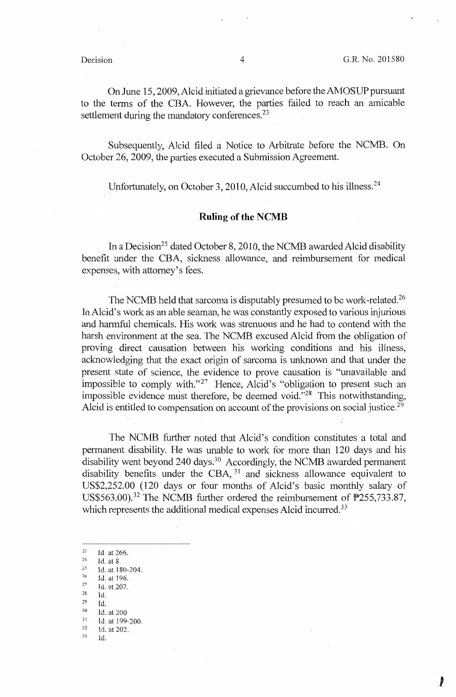On June 15, 2009, Alcid initiated a grievance before the AMOSUP pursuant to the terms of the CBA. However, the parties failed to reach an amicable settlement during the mandatory conferences.<sup>23</sup>

Subsequently, Alcid filed a Notice to Arbitrate before the NCMB. On October 26, 2009, the parties executed a Submission Agreement.

Unfortunately, on October 3, 2010, Alcid succumbed to his illness.<sup>24</sup>

# **Ruling of the NCMB**

In a Decision<sup>25</sup> dated October 8, 2010, the NCMB awarded Alcid disability benefit under the CBA, sickness allowance, and reimbursement for medical expenses, with attorney's fees.

The NCMB held that sarcoma is disputably presumed to be work-related.<sup>26</sup> InAlcid's work as an able seaman, he was constantly exposed to various injurious and harmful chemicals. His work was strenuous and he had to contend with the harsh environment at the sea. The NCMB excused Alcid from the obligation of proving direct causation between his working conditions and his illness, acknowledging that the exact origin of sarcoma is unknown and that under the present state of science, the evidence to prove causation is "unavailable and impossible to comply with."<sup>27</sup> Hence, Alcid's "obligation to present such an impossible evidence must therefore, be deemed void."<sup>28</sup> This notwithstanding, Alcid is entitled to compensation on account of the provisions on social justice.<sup>29</sup>

The NCMB further noted that Alcid's condition constitutes a total and permanent disability. He was unable to work for more than 120 days and his disability went beyond  $240 \text{ days}$ .<sup>30</sup> Accordingly, the NCMB awarded permanent disability benefits under the CBA, <sup>31</sup> and sickness allowance equivalent to US\$2,252.00 (120 days or four months of Alcid's basic monthly salary of US\$563.00).<sup>32</sup> The NCMB further ordered the reimbursement of  $P255,733.87$ , which represents the additional medical expenses Alcid incurred.<sup>33</sup>

<sup>23</sup> Id. at 266.<br><sup>24</sup> Id. at 8.<br><sup>25</sup> Id. at 180.

- 
- $\frac{26}{27}$  Id. at 196.<br>  $\frac{27}{28}$  Id. at 202.
- Id.
- 29 Id.
- $30$  Id. at 200
- $\frac{31}{32}$  Id. at 199-200.
- $rac{32}{33}$  Id. at 202.
- 

 $\frac{25}{26}$  Id. at 180-204.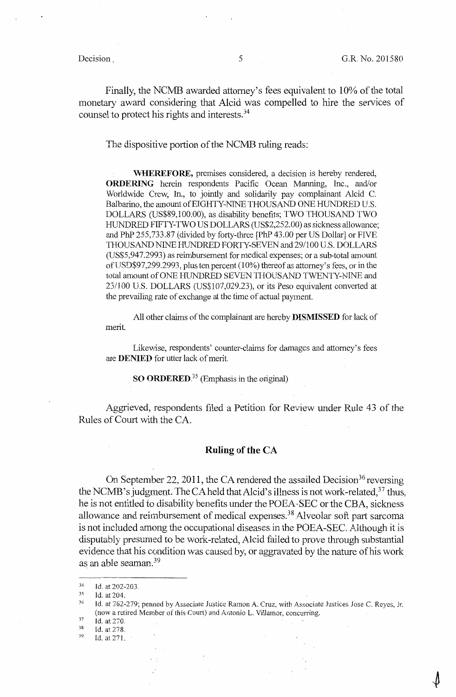Finally, the NCMB awarded attorney's fees equivalent to 10% of the total monetary award considering that Alcid was compelled to hire the services of counsel to protect his rights and interests. 34

The dispositive portion of the NCMB ruling reads:

**WHEREFORE,** premises considered, a decision is hereby rendered, **ORDERING** herein respondents Pacific Ocean Manning, Inc., and/or Worldwide Crew, In., to jointly and solidarily pay complainant Alcid C. Balbarino, the amount of EIGHTY-NINE THOUSAND ONE HUNDRED U.S. DOLLARS (US\$89,100.00), as disability benefits; TWO THOUSAND TWO HUNDRED FIFTY-TWO US DOLLARS (US\$2,252.00) as sickness allowance; and PhP 255,733.87 (divided by forty-three [PhP 43.00 per US Dollar] or FIVE THOUSAND NINE HUNDRED FORTY-SEVEN and 29/100 U.S. DOLLARS (US\$5,947.2993) as reimbursement for medical expenses; or a sub-total amount ofUSD\$97,299.2993, plus ten percent (10%) thereof as attorney's fees, or in the total amount of ONE HUNDRED SEVEN THOUSAND TWENTY-NINE and 23/100 U.S. DOLLARS (US\$107,029.23), or its Peso equivalent converted at the prevailing rate of exchange at the time of actual payment.

All other claims of the complainant are hereby **DISMISSED** for lack of merit.

Likewise, respondents' counter-claims for damages and attorney's fees are **DENIED** for utter lack of merit.

**SO ORDERED.<sup>35</sup>**(Emphasis in the original)

Aggrieved, respondents filed a Petition for Review under Rule 43 of the Rules of Court with the CA.

## **Ruling of the CA**

On September 22, 2011, the CA rendered the assailed Decision<sup>36</sup> reversing the NCMB's judgment. The CA held that Alcid's illness is not work-related, $37$  thus, he is not entitled to disability benefits under the POEA-SEC or the CBA, sickness allowance and reimbursement of medical expenses.38 Alveolar soft part sarcoma is not included among the occupational diseases.in the POEA-SEC, Although it is disputably presumed to be work-related, Alcid failed to prove through substantial evidence that his condition was caused by, or aggravated by the nature of his work as an able seaman.<sup>39</sup>

<sup>34</sup>  Id. at 202-203.

<sup>35</sup>  Id. at 204.

<sup>36</sup>  Id. at 262-279; penned by Associate Justice Ramon A. Cruz, with Associate Justices Jose C. Reyes, Jr. (now a retired Member of this-Court) and Antonio L. Villamor, concurring.

<sup>37</sup>  Id. at 270.

<sup>38</sup>  Id. at 278 .

<sup>39</sup> Id. at 271.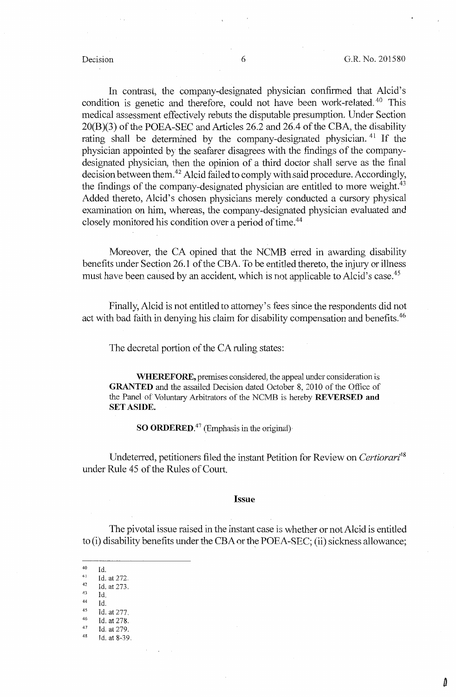Δ

In contrast, the company-designated physician confirmed that Alcid's condition is genetic and therefore, could not have been work-related.<sup>40</sup> This medical assessment effectively rebuts the disputable presumption. Under Section 20(B)(3) of the POEA-SEC and Articles 26.2 and *26A* of the CBA, the disability rating shall be determined by the company-designated physician. <sup>41</sup> If the physician appointed by the seafarer disagrees with the findings of the companydesignated physician, then the opinion of a third doctor shall serve as the final decision between them.<sup>42</sup> Alcid failed to comply with said procedure. Accordingly, the findings of the company-designated physician are entitled to more weight.<sup>43</sup> Added thereto, Alcid's chosen physicians merely conducted a cursory physical examination on him, whereas, the company-designated physician evaluated and closely monitored his condition over a period of time.<sup>44</sup>

Moreover, the CA opined that the NCMB erred in awarding disability benefits under Section 26.1 of the CBA. To be entitled thereto, the injury or illness must have been caused by an accident, which is not applicable to Alcid's case.<sup>45</sup>

Finally, Alcid is not entitled to attorney's fees since the respondents did not act with bad faith in denying his claim for disability compensation and benefits.<sup>46</sup>

The decretal portion of the CA ruling states:

**WHEREFORE,** premises considered, the appeal under consideration is **GRANTED** and the assailed Decision dated October 8, 2010 of the Office of the Panel of Voluntary Arbitrators of the NCMB is hereby **REVERSED and SET ASIDE.** 

**SO ORDERED.<sup>47</sup>** (Emphasis in the original)

Undeterred, petitioners filed the instant Petition for Review on *Certiorari<sup>48</sup>* under Rule 45 of the Rules of Court.

### **Issue**

The pivotal issue raised in the instant case is whether or not Alcid is entitled to (i) disability benefits under the CBA or the POEA-SEC; (ii) sickness allowance;

 $\begin{array}{cc}\n 40 & \text{Id.} \\
 41 & \text{Id.}\n \end{array}$ 

- $\frac{43}{44}$  Id.
- $\begin{array}{cc} 44 & \text{Id.} \\ 45 & \text{Id.} \end{array}$
- $^{45}$  Id. at 277.
- $^{46}$  Id. at 278.
- $^{47}$  Id. at 279.<br> $^{48}$  Id. at 8-39.

 $41$  Id. at 272.<br> $42$  Id. at 273.

 $43$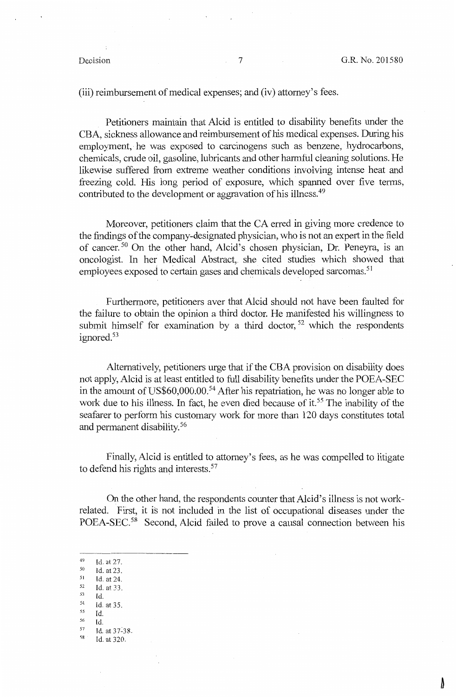(iii) reimbursement of medical expenses; and (iv) attorney's fees.

Petitioners maintain that Alcid is entitled to disability benefits under the CBA, sickness allowance and reimbursement of his medical expenses. During his employment, he was exposed to carcinogens such as benzene, hydrocarbons, chemicals, crude oil, gasoline, lubricants and other harmful cleaning solutions. He likewise suffered from extreme weather conditions involving intense heat and freezing cold. His long period of exposure, which spanned over five tenns, contributed to the development or aggravation of his illness.<sup>49</sup>

Moreover, petitioners claim that the CA erred in giving more credence to the findings of the company-designated physician, who is not an expert in the field of cancer.<sup>50</sup> On the other hand, Alcid's chosen physician, Dr. Peneyra, is an oncologist. In her Medical Abstract,. she cited studies which showed that employees exposed to certain gases and chemicals developed sarcomas.<sup>51</sup>

Furthennore, petitioners aver that Alcid should not have been faulted for the failure to obtain the opinion a third doctor. He manifested his willingness to submit himself for examination by a third doctor,  $52$  which the respondents ignored.<sup>53</sup>

Alternatively, petitioners urge that if the CBA provision on disability does not apply, Alcid is at least entitled to full disability benefits under the POEA-SEC in the amount of US\$60,000.00.<sup>54</sup> After his repatriation, he was no longer able to work due to his illness. In fact, he even died because of it.<sup>55</sup> The inability of the seafarer to perform his customary work for more than 120 days constitutes total and permanent disability. 56

Finally, Alcid is entitled to attorney's fees, as he was compelled to litigate to defend his rights and interests.<sup>57</sup>

On the other hand, the respondents counter that Alcid's illness is not workrelated. First, it is not included in the list of occupational diseases under the POEA-SEC.<sup>58</sup> Second, Alcid failed to prove a causal connection between his

- 
- $\begin{array}{cc}\n 50 & \text{Id. at 23.} \\
 51 & \text{Id. at 24.} \\
 52 & \text{Id. at 33.} \\
 53 & \text{Id}\n \end{array}$
- $Id.$
- $^{54}$  Id. at 35.
- $^{55}$  **Id.**<br> $^{56}$  **Id.**
- s6 Id.
- $1d.$  at  $37-38$ .
- 'Id. at 320.

 $^{49}$  Id. at 27.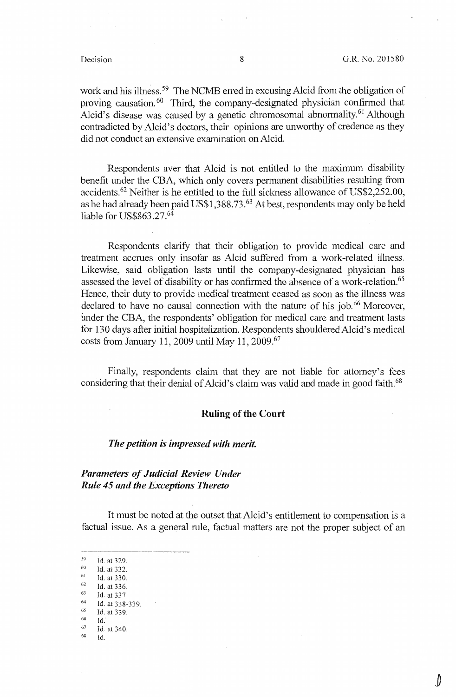work and his illness.<sup>59</sup> The NCMB erred in excusing Alcid from the obligation of proving causation.<sup>60</sup> Third, the company-designated physician confirmed that Alcid's disease was caused by a genetic chromosomal abnormality.<sup>61</sup> Although contradicted by Alcid's doctors, their opinions are unworthy of credence as they did not conduct an exiensive examination on Alcid.

Respondents aver that Alcid is not entitled to the maximum disability benefit under the CBA, which only covers permanent disabilities resulting from accidents.62 Neither is he entitled to the full sickness allowance of US\$2,252.00, as he had already been paid US\$1,388.73.63 At best, respondents may only be held liable for US\$863.27.<sup>64</sup>

Respondents clarify that their obligation to provide medical care and treatment accrues only insofar as Alcid suffered from a work-related illness. Likewise, said obligation lasts until the company-designated physician has assessed the level of disability or has confirmed the absence of a work-relation.<sup>65</sup> Hence, their duty to provide medical treatment ceased as soon as the illness was declared to have no causal connection with the nature of his job.<sup>66</sup> Moreover, under the CBA, the respondents' obligation for medical care and treatment lasts for 130 days after initial hospitalization. Respondents shouldered Alcid's medical costs from January 11, 2009 until May 11, 2009.<sup>67</sup>

Finally, respondents claim that they are not liable for attorney's fees considering that their denial of Alcid's claim was valid and made in good faith.<sup>68</sup>

# **Ruling of the Court**

## *The petition is impressed with merit.*

# *Parameters of Judicial Review Under Rule 45 and the Exceptions Thereto*

It must be noted at the outset that Alcid's entitlement to compensation is a factual issue. As a general rule, factual matters are not the proper subject of an

 $\begin{bmatrix} 59 & \text{Id. at } 329. \\ 60 & \text{Id. at } 332. \end{bmatrix}$ 

 $\begin{array}{cc} 61 & \text{Id. at } 330. \\ 62 & \text{Id. at } 336. \end{array}$ 

 $\begin{bmatrix} 62 & \text{Id. at } 336. \\ 63 & \text{Id. at } 337. \\ 64 & \text{Id. at } 338. \end{bmatrix}$ 

 $^{64}$  Id. at 338-339.<br>  $^{65}$  Id. at 339.

 $\begin{array}{cc}\n 66 \\
 67 \\
 \hline\n 68 \\
 74\n \end{array}$  at 340.

Id.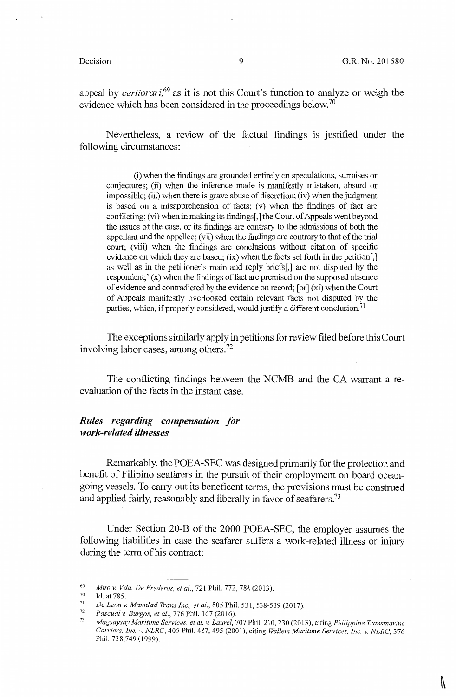V

appeal by *certiorari,* 69 as it is not this Court's function to analyze or weigh the evidence which has been considered in the proceedings below.<sup>70</sup>

Nevertheless, a review of the factual findings is justified under the following circumstances:

(i) when the findings are grounded entirely on speculations, surmises or conjectures; (ii) when the inference made is manifestly mistaken, absurd or impossible; (iii) when there is grave abuse of discretion; (iv) when the judgment is based on a misapprehension of facts; (v) when the findings of fact are conflicting; (vi) when in making its findings[,] the Court of Appeals went beyond the issues of the case, or its findings are contrary to the admissions of both the appellant and the appellee; (vii) when the findings are contrary to that of the trial court; (viii) when the findings are conclusions without citation of specific evidence on which they are based; (ix) when the facts set forth in the petition[,] as well as in the petitioner's main and reply briefs[,] are not disputed by the respondent;' (x) when the findings of fact are premised on the supposed absence of evidence and contradicted by the evidence on record; [ or] (xi) when the Court of Appeals manifestly overlooked certain relevant facts not disputed by the parties, which, if properly considered, would justify a different conclusion.<sup>71</sup>

The exceptions similarly apply in petitions for review filed before this Court involving labor cases, among others. 72

The conflicting findings between the NCMB and the CA warrant a reevaluation of the facts in the instant case.

# *Rules regarding compensation for work-related illnesses*

Remarkably, the POEA-SEC was designed primarily for the protection and benefit of Filipino seafarers in the pursuit of their employment on board oceangoing vessels. To carry out its beneficent terms, the provisions must be construed and applied fairly, reasonably and liberally in favor of seafarers.<sup>73</sup>

Under Section 20-B of the 2000 POEA-SEC, the employer assumes the following liabilities in case the seafarer suffers a work-related illness or injury during the term of his contract:

<sup>69</sup>  *Miro v. V da. De Erederos, et al.,* 721 Phil. 772, 784 (2013).

<sup>70</sup>  Id. at 785.

<sup>71</sup>  *De Leon v. Maun/ad Trans Inc., et al.,* 805 Phil. 531, 538-539 (2017).

<sup>72</sup>  *Pascual v. Burgos, et al.,* 776 Phil. 167 (2016).

<sup>73</sup>  *Magsaysay Maritime Services, et al. v. Laurel,* 707 Phil. 210,230 (2013), citing *Philippine Transmarine Carriers, Inc. v. NLRC,* 405 Phil. 487,495 (2001), citing *Wallem Maritime Services, Inc. v. NLRC,* 376 Phil. 738,749 (1999).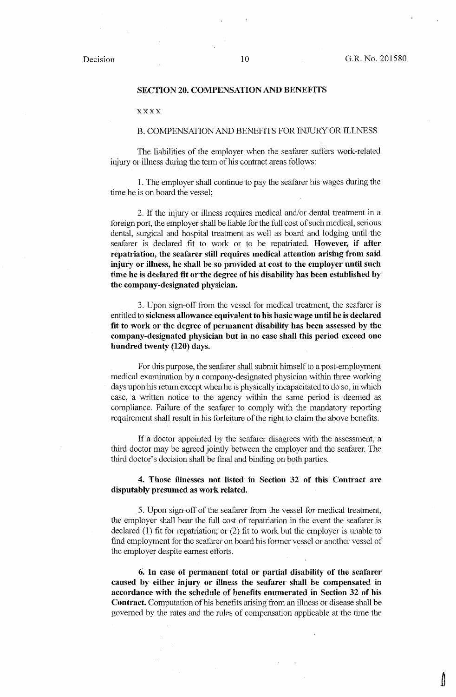### **SECTION 20. COMPENSATION AND BENEFITS**

xxxx

### B. COMPENSATION AND BENEFITS FOR fNJURY OR ILLNESS

The liabilities of the employer when the seafarer suffers work-related injury or illness during the term of his contract areas follows:

1. The employer shall continue to pay the seafarer his wages during the time he is on board the vessel;

2. If the injury or illness requires medical and/or dental treatment in a foreign port, the employer shall be liable for the full cost of such medical, serious dental, surgical and hospital treatment as well as board and lodging until the seafarer is declared fit to work or to be repatriated. **However,** if **after repatriation, the seafarer still requires medical attention arising from said injury or illness, he shall be so provided at cost to the employer until such time he** is **declared fit or the degree of his- disability has been established by the company-designated physician.** 

3. Upon sign-off from the vessel for medical treatment, the seafarer is entitled to **sickness allowance equivalent to his basic wage until he is declared fit to work or the degree of permanent disability has been assessed by the company-designated physician but in no case shall this period exceed one hundred twenty (120) days.** 

For this purpose, the seafarer shall submit himself to a post-employment medical examination by a company-designated physician within three working days upon his return except when he is physically incapacitated to do so, in which case, a written notice to the agency within the same period is deemed as compliance. Failure of the seafarer to comply with the mandatory reporting requirement shall result in his forfeiture of the right to claim the above benefits.

If a doctor appointed by the seafarer disagrees with the assessment, a third doctor may be agreed jointly between the employer and the seafarer. The third doctor's decision shall be final and binding on both parties.

## **4. Those illnesses not listed in Section 32 of this Contract are disputably presumed as work related.**

5. Upon sign-off of the seafarer from the vessel for medical treatment, the employer shall bear the full cost of repatriation in the event the seafarer is declared (1) fit for repatriation; or (2) fit to work but the employer is unable to find employment for the seatarer on board his former vessel or another vessel of the employer despite earnest efforts.

**6. In case of permanent total or partial disability of the seafarer caused by either injury or illness the seafarer shall be compensated** in **accordance with the schedule of benefits enumerated in Section 32 of his Contract.** Computation of his benefits arising from an illness or disease shall be governed by the rates and the rules of compensation applicable at the time the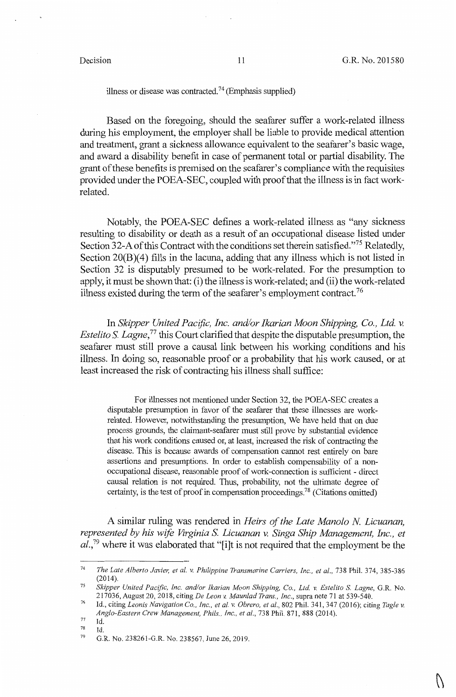# illness or disease was contracted.<sup>74</sup> (Emphasis supplied)

Based on the foregoing, should the seafarer suffer a work-related illness during his employment, the employer shall be liable to provide medical attention and treatment, grant a sickness allowance equivalent to the seafarer's basic wage, and award a disability benefit in case of permanent total or partial disability. The grant of these benefits is premised on the seafarer's compliance with the requisites provided under the POEA-SEC, coupled with proof that the illness is in fact workrelated.

Notably, the POEA-SEC defines a work-related illness as "any sickness resulting to disability or death as a result of an occupational disease listed under Section 32-A of this Contract with the conditions set therein satisfied."<sup>75</sup> Relatedly, Section 20(B)(4) fills in the lacuna, adding that any illness which is not listed in Section 32 is disputably presumed to be work-related. For the presumption to apply, it must be shown that: (i) the illness is work-related; and (ii) the work-related illness existed during the term of the seafarer's employment contract. <sup>76</sup>

In *Skipper United Pactfic, Inc. and/or Ikarian Moon Shipping, Co., Ltd. v. Estelito S. Lagne*<sup>77</sup> this Court clarified that despite the disputable presumption, the seafarer must still prove a causal link between his working conditions and his illness. In doing so, reasonable proof or a probability that his work caused, or at least increased the risk of contracting his illness shall suffice:

For illnesses not mentioned under Section 32, the POEA-SEC creates a disputable presumption in favor of the seafarer that these illnesses are workrelated. However, notwithstanding the presumption, We have held that on due process grounds, the claimant-seafarer must still prove by substantial evidence that his work conditions caused or, at least, increased the risk of contracting the disease. This is because awards of compensation cannot rest entirely on bare assertions and presumptions. In order to establish compensability of a nonoccupational disease, reasonable proof of work-connection is sufficient - direct causal relation is not required. Thus, probability, not the ultimate degree of certainty, is the test of proof in compensation proceedings.<sup>78</sup> (Citations omitted)

A similar ruling was rendered in *Heirs of the Late Manolo N Licuanan, represented by his wife Virginia S. Licuanan v. Singa Ship Management, Inc., et al.,* <sup>79</sup>where it was elaborated that "[i]t is not required that the employment be the

77 Id.

<sup>74</sup>  *The Late Alberto Javier, et al. v. Philippine Transmarine Carriers, Inc., et al., 738 Phil. 374, 385-386* (2014).

<sup>75</sup>  *Skipper United Pacific, Inc. and/or Ikarian Moon Shipping,* Co., *Ltd v. Estelito* S. *Lagne,* G.R. No. 217036, August 20, 2018, citing *De Leon v. Maun/ad Trans., Inc.,* supra note 71 at 539-540.

<sup>76</sup>  Id., citing *Leonis Navigation* Co., *Inc., et al. v. Obrero, et al.,* 802 Phil. 341, 347 (2016); citing *Tagle v. Anglo-Eastern Crew Management, Phils., Inc., et al.,* 738 Phil. 871, 888 (2014).

<sup>78</sup>  Id.

<sup>79</sup>  G.R. No. 238261-G.R. No. 238567, June 26, 2019.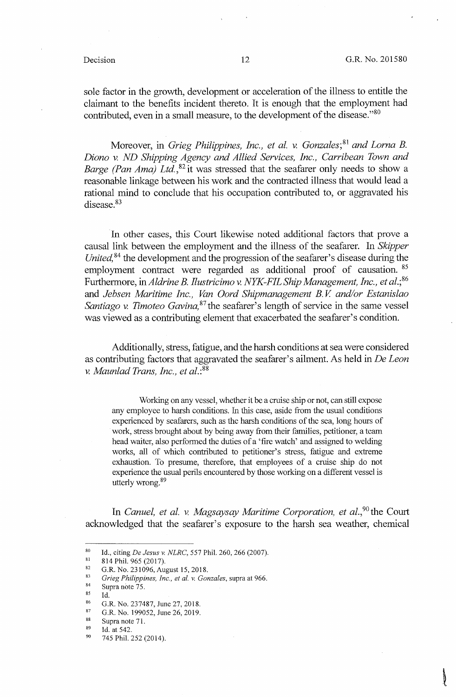sole factor in the growth, development or acceleration of the illness to entitle the claimant to the benefits incident thereto. It is enough that the employment had contributed, even in a small measure, to the development of the disease."<sup>80</sup>

Moreover, in *Grieg Philippines, Inc., et al. v. Gonzales;* <sup>81</sup>*and Lorna* B. *Diano v. ND Shipping Agency and Allied Services, Inc., Carribean Town and Barge (Pan Ama) Ltd.*,<sup>82</sup> it was stressed that the seafarer only needs to show a reasonable linkage between his work and the contracted illness that would lead a rational mind to conclude that his occupation contributed to, or aggravated his disease.<sup>83</sup>

In other cases, this Court likewise noted additional factors that prove a causal link between the employment and the illness of the seafarer. In *Skipper United*, <sup>84</sup> the development and the progression of the seafarer's disease during the employment contract were regarded as additional proof of causation. <sup>85</sup> Furthermore, *inAldrine* B. *Ilustricimo v. NYK-FILShip Management, Inc., et al.;<sup>86</sup>* and *Jebsen Maritime Inc., Van Oard Shipmanagement B. V and/or Estanislao Santiago v. Timoteo Gavina*, <sup>87</sup> the seafarer's length of service in the same vessel was viewed as a contributing element that exacerbated the seafarer's condition.

Additionally, stress, fatigue, and the harsh conditions at sea were considered as contributing factors that aggravated the seafarer's ailment. As held in *De Leon v. Maunlad Trans, Inc., et al.*:<sup>88</sup>

Working on any vessel, whether it be a cruise ship or not, can still expose any employee to harsh conditions. In this case, aside from the usual conditions experienced by seafarers, such as the harsh conditions of the sea, long hours of work, stress brought about by being away from their families, petitioner, a team head waiter, also performed the duties of a 'fire watch' and assigned to welding works, all of which contributed to petitioner's stress, fatigue and extreme exhaustion. To presume, therefore, that employees of a cruise ship do not experience the usual perils encountered by those working on a different vessel is utterly wrong.<sup>89</sup>

In *Canuel, et al. v. Magsaysay Maritime Corporation, et al.,90 the* Court acknowledged that the seafarer's exposure to the harsh sea weather, chemical

<sup>80</sup> Id., citing *De Jesus v. NLRC*, 557 Phil. 260, 266 (2007).<br>
81 814 Phil. 965 (2017).<br>
82 G.R. No. 231096, August 15, 2018.<br>
83 *Grieg Philippines, Inc., et al. v. Gonzales*, supra at 966.<br>
85 *M* 

<sup>85</sup> Id. 6.R. No. 237487, June 27, 2018.<br>
87 G.R. No. 199052, June 26, 2019.<br>
88 Supra note 71.<br>
89 Id. at 542.<br>
90 745 Phil. 252 (2014).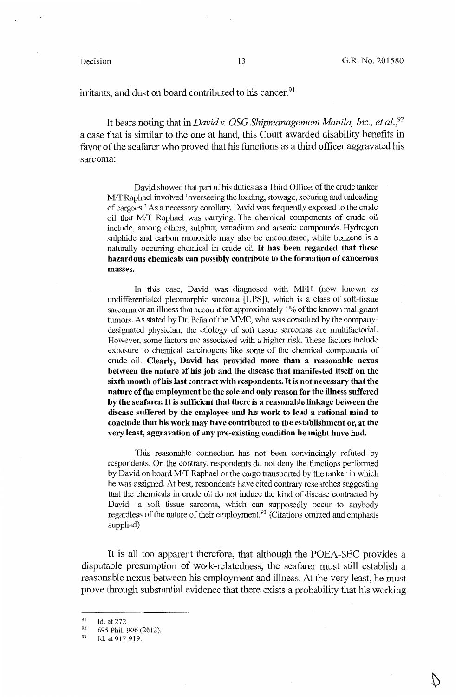irritants, and dust on board contributed to his cancer.<sup>91</sup>

It bears noting that in *David* v. *OSG Shipmanagement Manila, Inc., et al.,<sup>92</sup>* a case that is similar to the one at hand, this Court awarded disability benefits in favor of the seafarer who proved that his functions as a third officer aggravated his sarcoma:

David showed that part of his duties as a Third Officer of the crude tanker M/T Raphael involved 'overseeing the loading, stowage, securing and unloading of cargoes.' As a necessary corollary, David was frequently exposed to the crude oil that MIT Raphael was carrying. The chemical components of crude oil include, among others, sulphur, vanadium and arsenic compounds. Hydrogen sulphide and carbon monoxide may also be encountered, while benzene is a naturally occurring chemical in crude oil. It **has been regarded that these hazardous chemicals can possibly contribute to the formation of cancerous masses.** 

In this case, David was diagnosed with MFH (now known as undifferentiated pleomorphic sarcoma [UPS]), which is a class of soft-tissue sarcoma or an illness that account for approximately 1 % of the known malignant tumors. As stated by Dr. Pefia of the MMC, who was consulted by the companydesignated physician, the etiology of soft tissue sarcomas are multifactorial. However, some factors are associated with a higher risk. These factors include exposure to chemical carcinogens like some of the chemical components of crude oil. **Clearly, David has provided more than a reasonable nexus between the nature of his job and the disease that manifested itself on the sixth month of his last contract with respondents.** It **is not necessary that the nature of the employment be the sole and only reason for the illness suffered by the seafarer.** It is **sufficient that there** is **a reasonable linkage between the disease suffered by the employee and his work to lead a rational mind to conclude that his work may have contributed to the establishment or, at the very least, aggravation of any pre-existing condition he might have had.** 

This reasonable connection has not been convincingly refuted by respondents. On the contrary, respondents do not deny the functions performed by David on board M/T Raphael or the cargo transported by the tanker in which he was assigned. At best, respondents have cited contrary researches suggesting that the chemicals in crude oil do not induce the kind of disease contracted by David-a soft tissue sarcoma, which can supposedly occur to anybody regardless of the nature of their employment.93 (Citations omitted and emphasis supplied)

It is all too apparent therefore, that although the POEA-SEC provides a disputable presumption of work-relatedness, the seafarer must still establish a reasonable nexus between his employment and illness. At the very least, he must prove through substantial evidence that there exists a probability that his working

<sup>91</sup>  Id. at  $272$ .

<sup>92</sup>  695 Phil. 906 (2012).

<sup>93</sup>  Id. at917-919.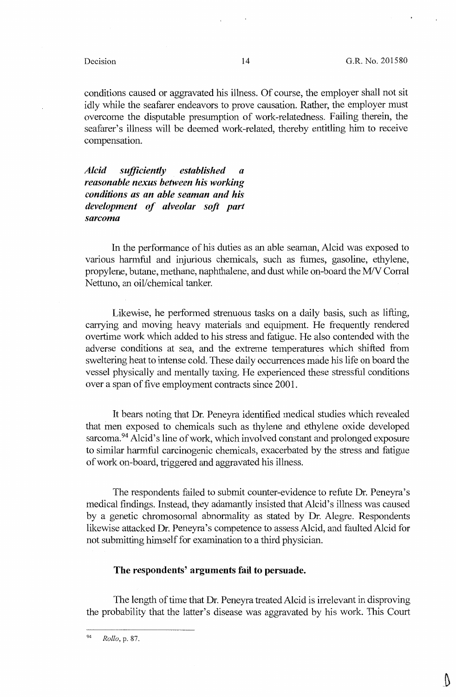conditions caused or aggravated his illness. Of course, the employer shall not sit idly while the seafarer endeavors to prove causation. Rather, the employer must overcome the disputable presumption of work-relatedness. Failing therein, the seafarer's illness will be deemed work-related, thereby entitling him to receive compensation.

*Alcid sufficiently established a reasonable nexus between his working conditions as an able seaman and his development of alveolar soft part sarcoma* 

In the performance of his duties as an able seaman, Alcid was exposed to various harmful and injurious chemicals, such as fumes, gasoline, ethylene, propylene, butane, methane, naphthalene, and dust while on-board the M/V Corral Nettuno, an oil/chemical tanker.

Likewise, he performed strenuous tasks on a daily basis, such as lifting, carrying and moving heavy materials and equipment. He frequently rendered overtime work which added to his stress and fatigue. He also contended with the adverse conditions at sea, and the extreme temperatures which shifted from sweltering heat to intense cold. These daily occurrences made his life on board the vessel physically and mentally taxing. He experienced these stressful conditions over a span of five employment contracts since 2001.

It bears noting that Dr. Peneyra identified medical studies which revealed that men exposed to chemicals such as thylene and ethylene oxide developed sarcoma.<sup>94</sup> Alcid's line of work, which involved constant and prolonged exposure to similar harmful carcinogenic chemicals, exacerbated by the stress and fatigue of work on-board, triggered and aggravated his illness.

The respondents failed to submit counter-evidence to refute Dr. Peneyra's medical findings. Instead, they adamantly insisted that Alcid's illness was caused by a genetic chromosomal abnormality as stated by Dr. Alegre. Respondents likewise attacked Dr. Peneyra's competence to assess Alcid, and faulted Alcid for not submitting himself for examination to a third physician.

## **The respondents' arguments fail to persuade.**

The length of time that Dr. Peneyra treated Alcid is irrelevant in disproving the probability that the latter's disease was aggravated by his work. This Court

<sup>94</sup>*Rollo,* p. 87.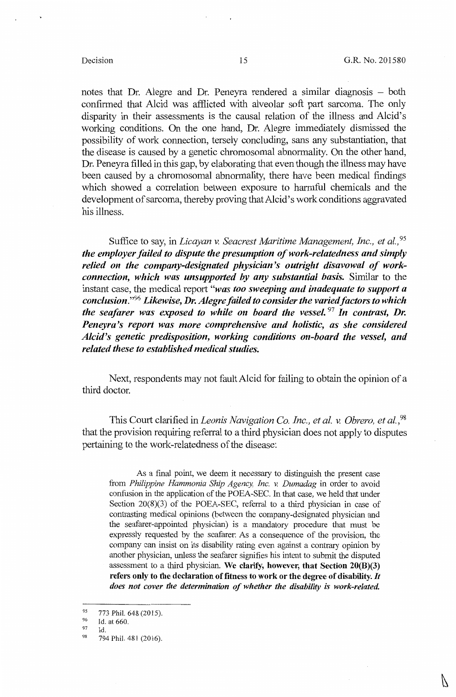N

notes that Dr. Alegre and Dr. Peneyra rendered a similar diagnosis – both confirmed that Alcid was afflicted with alveolar soft part sarcoma. The only disparity in their assessments is the causal relation of the illness and Alcid's working conditions. On the one hand, Dr. Alegre immediately dismissed the possibility of work connection, tersely concluding, sans any substantiation, that the disease is caused by a genetic chromosomal abnormality. On the other hand, Dr. Peneyra filled in this gap, by elaborating that even though the illness may have been caused by a chromosomal abnormality, there have been medical findings which showed a correlation between exposure to harmful chemicals and the development of sarcoma, thereby proving that Alcid's work conditions aggravated his illness.

Suffice to say, in *Licayan* v. *Seacrest Maritime Management, Inc., et al., <sup>95</sup> the employer failed to dispute the presumption of work-relatedness and simply relied on the company-designated physician's outright disavowal of workconnection, which was unsupported by any substantial basis.* Similar to the instant case, the medical report *"was too sweeping and inadequate to support a conclusion."96 Likewise, Dr. Alegre failed to consider the varied factors to which the seafarer was exposed to while on board the vessel.* <sup>97</sup>*In contrast, Dr. Peneyra's report was more comprehensive and holistic, as she considered Alcid's genetic predisposition, working conditions on-board the vessel, and related these to established medical studies.* 

Next, respondents may not fault Alcid for failing to obtain the opinion of a third doctor.

This Court clarified in *Leonis Navigation Co. Inc., et al.* v. *Obrero, et al.,98*  that the provision requiring referral to a third physician does not apply to disputes pertaining to the work-relatedness of the disease:

As a final point, we deem it necessary to distinguish the present case from *Philippine Hammonia Ship Agency, Inc.* v. *Dumadag* in order to avoid confusion in the application of the POEA-SEC. In that case, we held that under Section 20(8)(3) of the POEA-SEC, referral to a third physician in case of contrasting medical opinions (between the company-designated physician and the seafarer-appointed physician) is a mandatory procedure that must be expressly requested by the seafarer: As a consequence of the provision, the company can insist on its disability rating even against a contrary opinion by another physician, unless the seafarer signifies his intent to submit the disputed assessment to a third physician. **We clarify, however, that Section 20(B)(3) refers only to the declaration of fitness to work or the degree of disability.** *It does not cover the determination of whether the disability is work-related.* 

<sup>&</sup>lt;sup>95</sup> 773 Phil. 648 (2015).<br><sup>96</sup> Id. at 660.

 $\frac{97}{98}$  Id.<br>
98 794 Phil. 481 (2016).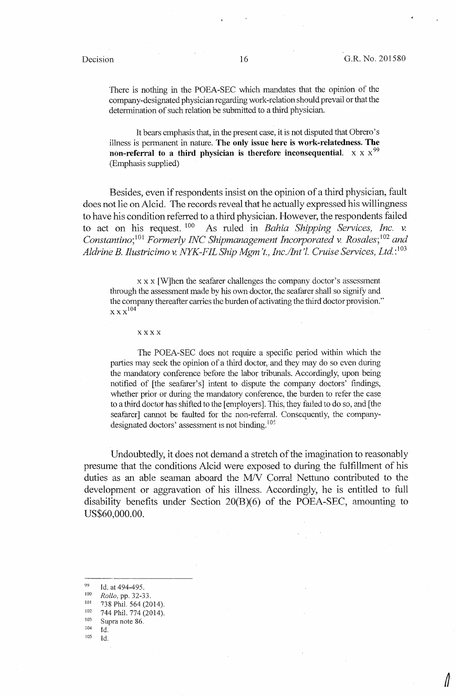There is nothing in the POEA-SEC which mandates that the opinion of the company-designated physician regarding work-relation should prevail or that the determination of such relation be submitted to a third physician.

It bears emphasis that, in the present case, it is not disputed that Obrero's illness is permanent in nature. **The only issue here is work-relatedness. The non-referral to a third physician is therefore inconsequential.**  $\mathbf{x} \times \mathbf{x}^{99}$ (Emphasis supplied)

Besides, even if respondents insist on the opinion of a third physician, fault does not lie on Alcid. The records reveal that he actually expressed his willingness to have his condition referred to a third physician. However, the respondents failed to act on his request.  $100$  As ruled in *Bahia Shipping Services, Inc. v.* As ruled in *Bahia Shipping Services, Inc. v. Constantino;* <sup>101</sup>*Formerly INC Shipmanagement Incorporated v. Rosales;* <sup>102</sup>*and Aldrine B. Ilustricimo v. NYK-FIL Ship Mgm* 't., *Inc./lnt 'l. Cruise Services, Ltd.:* <sup>103</sup>

 $x \times x$  [W]hen the seafarer challenges the company doctor's assessment through the assessment made by his own doctor, the seafarer shall so signify and the company thereafter carries the burden of activating the third doctor provision.''  $\overline{\mathbf{x}\mathbf{x}}\mathbf{x}^{104}$ 

xxxx

The POEA-SEC does not require a specific period within which the parties may seek the opinion of a third doctor, and they may do so even during the mandatory conference before the labor tribunals. Accordingly, upon being notified of [the seafarer's] intent to dispute the company doctors' findings, whether prior or during the mandatory conference, the burden to refer the case to a third doctor has shifted to the [employers]. This, they failed to do so, and [the seafarer] cannot be faulted for the non-referral. Consequently, the companydesignated doctors' assessment is not binding.<sup>105</sup>

Undoubtedly, it does not demand a stretch of the imagination to reasonably presume that the conditions Alcid were exposed to during the fulfillment of his duties as an able seaman aboard the M/V Corral Nettuno contributed to the development or aggravation of his illness. Accordingly, he is entitled to full disability benefits under Section 20(B)(6) of the POEA-SEC, amounting to US\$60,000.00.

- 
- 
- 

<sup>99</sup> Id. at 494-495.<br>
100 Rollo, pp. 32-33.<br>
101 738 Phil. 564 (2014).<br>
102 744 Phil. 774 (2014).<br>
103 Supra note 86.<br>
104 Id.<br>
105 Id.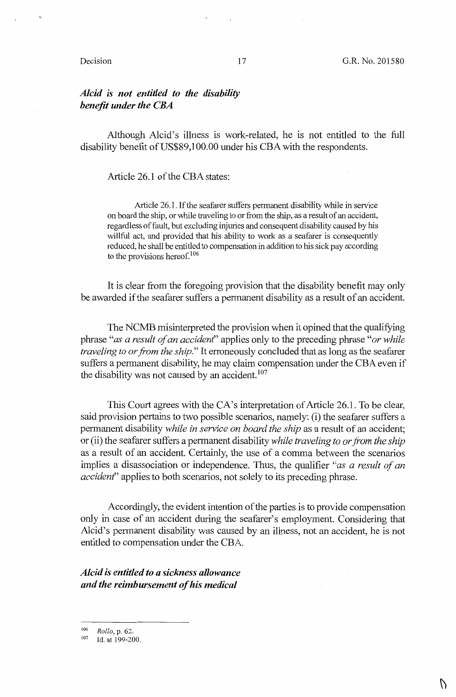### Decision 17

# *Alcid is not entitled to the disability benefit under the CBA*

Although Alcid's illness is work-related, he is not entitled to the full disability benefit of US\$89,100.00 under his CBA with the respondents.

Article 26.1 of the CBA states:

Article 26.1. If the seafarer suffers permanent disability while in service on board the ship, or while traveling to or from the ship, as a result of an accident, regardless of fault, but excluding injuries and consequent disability caused by his willful act, and provided that his ability to work as a seafarer is consequently reduced, he shall be entitled to compensation in addition to his sick pay according to the provisions hereof.<sup>106</sup>

It is clear from the foregoing provision that the disability benefit may only be awarded if the seafarer suffers a permanent disability as a result of an accident.

The NCMB misinterpreted the provision when it opined that the qualifying phrase *"as a result of an accident'* applies only to the preceding phrase *"or while traveling to or from the ship."* It erroneously concluded that as long as the seafarer suffers a permanent disability, he may claim compensation under the CBA even if the disability was not caused by an accident.<sup>107</sup>

This Court agrees with the CA's interpretation of Article 26.1. To be clear, said provision pertains to two possible scenarios, namely: (i) the seafarer suffers a permanent disability *while in service on board the ship* as a result of an accident; or (ii) the seafarer suffers a permanent disability *while traveling to or from the ship*  as a result of an accident. Certainly, the use of a comma between the scenarios implies a disassociation or independence. Thus, the qualifier *"as a result of an accident'* applies to both scenarios, not solely to its preceding phrase.

Accordingly, the evident intention of the parties is to provide compensation only in case of an accident during the seafarer's employment. Considering that Alcid's permanent disability was caused by an illness, not an accident, he is not entitled to compensation under the CBA.

*Alcid is entitled to a sickness allowance and the reimbursement of his medical* 

<sup>&</sup>lt;sup>106</sup> *Rollo*, p. 62.<br><sup>107</sup> Id. at 199-200.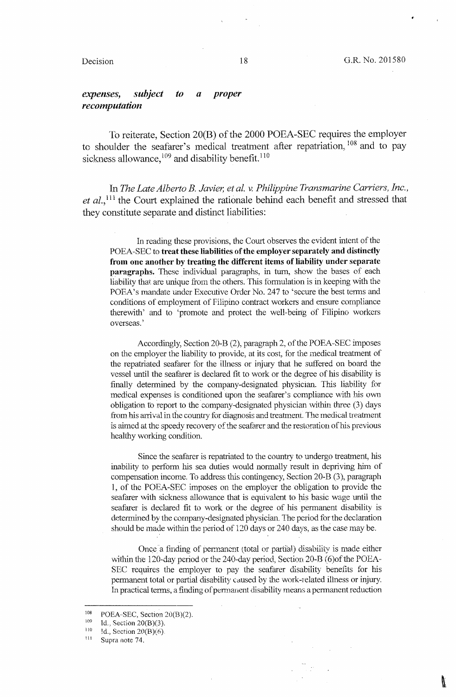# *expenses, subject to a proper recomputation*

To reiterate, Section 20(B) of the 2000 POEA-SEC requires the employer to shoulder the seafarer's medical treatment after repatriation, 108 and to pay sickness allowance,  $109$  and disability benefit.  $110$ 

In *The Late Alberto* B. *Javier, et al.* v. *Philippine Transmarine Carriers, Inc.,*  et al.,<sup>111</sup> the Court explained the rationale behind each benefit and stressed that they constitute separate and distinct liabilities:

In reading these provisions, the Court observes the evident intent of the POEA-SEC to **treat these liabilities of the employer separately and distinctly from one another by treating the different items of liability under separate paragraphs.** These individual paragraphs, in turn, show the bases of each liability that are unique from the others. This formulation is in keeping with the POEA's mandate under Executive Order No. 247 to 'secure the best terms and conditions of employment of Filipino contract workers and ensure compliance therewith' and to 'promote and protect the well-being of Filipino workers overseas.'

Accordingly, Section 20-B (2), paragraph 2, of the POEA-SEC imposes on the employer the liability to provide, at its cost, for the medical treatment of the repatriated seafarer for the illness or injury that he suffered on board the vessel until the seafarer is declared fit to work or the degree of his disability is finally determined by the company-designated physician. This liability for medical expenses is conditioned upon the seafarer's compliance with his own obligation to report to the company-designated physician within three (3) days from his arrival in the country for diagnosis and treatment. The medical treatment is aimed at the speedy recovery of the seafarer and the restoration of his previous healthy working condition.

Since the seafarer is repatriated to the country to undergo treatment, his inability to perform his sea duties would normally result in depriving him of compensation income. To address this contingency, Section 20-B (3), paragraph 1, of the POEA-SEC imposes on the employer the obligation to provide the seafarer with sickness allowance that is equivalent to his basic wage until the seafarer is declared fit to work or the degree of his permanent disability is determined by the company-designated physician. The period for the declaration should be made within the period of 120 days or 240 days, as the case may be.

Once a finding of permanent (total or partial) disability is made either within the 120-day period or the 240-day period, Section 20-B (6) of the POEA-SEC requires the employer to pay the seafarer disability benefits for his permanent total or partial disability caused by the work-related illness or injury. fa practical terms, a finding of pennanent disability means a permanent reduction

<sup>108</sup> POEA-SEC, Section 20(B)(2).<br>
<sup>109</sup> Id., Section 20(B)(3).<br>
<sup>110</sup> Id., Section 20(B)(6).<br>
<sup>111</sup> Supra note 74.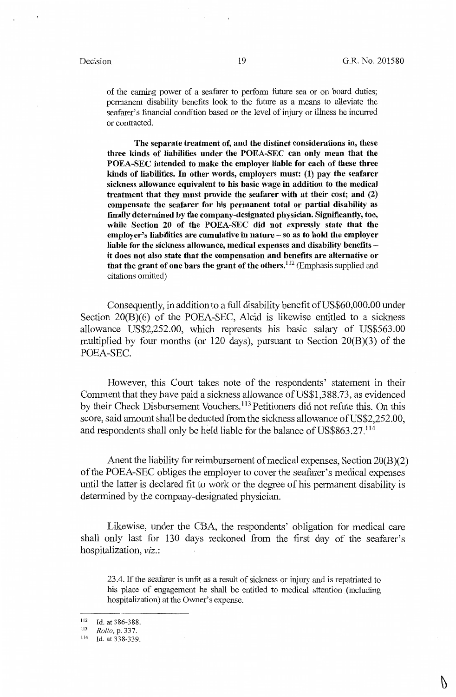of the earning power of a seafarer to perform future sea or on board duties; permanent disability benefits look to the future as a means to alleviate the seafarer's financial condition based on the level of injury or illness he incurred or contracted.

**The separate treatment of, and the distinct considerations** in, **these three kinds of liabilities under the POEA-SEC can only mean that the POEA-SEC intended to make the employer liable for each of these three kinds of liabilities. In other words, employers must: (1) pay the seafarer sickness allowance equivalent to his basic wage in addition to the medical treatment that they must provide the seafarer with at their cost; and (2) compensate the seafarer for his permanent total or partial disability as fmally determined by the company-designated physician. Significantly, too, while Section 20 of the POEA-SEC did not expressly state that the employer's liabilities are cumulative** in **nature** - **so as to hold the employer liable for the sickness allowance, medical expenses and disability benefits it does not also state that the compensation and benefits are alternative or that the grant of one bars the grant of the others.<sup>112</sup>**(Emphasis supplied and citations omitted)

Consequently, in addition to a full disability benefit of US\$60,000.00 under Section 20(B)(6) of the POEA-SEC, Alcid is likewise entitled to a sickness allowance US\$2,252.00, which represents his basic salary of US\$563.00 multiplied by four months (or 120 days), pursuant to Section  $20(B)(3)$  of the POEA-SEC.

However, this Court takes note of the respondents' statement in their Comment that they have paid a sickness allowance of US\$1,388.73, as evidenced by their Check Disbursement Vouchers. 113 Petitioners did not refute this. On this score, said amount shall be deducted from the sickness allowance of US\$2,252.00, and respondents shall only be held liable for the balance of US\$863.27.<sup>114</sup>

Anent the liability for reimbursement of medical expenses, Section 20(8)(2) of the POEA-SEC obliges the employer to cover the seafarer's medical expenses until the latter is declared fit to work or the degree of his permanent disability is determined by the company-designated physician.

Likewise, under the C8A, the respondents' obligation for medical care shall only last for 130 days reckoned from the first day of the seafarer's hospitalization, *viz.:* 

23.4. If the seafarer is unfit as a result of sickness or injury and is repatriated to his place of engagement he shall be entitled to medical attention (including hospitalization) at the Owner's expense.

Ŋ

 $\frac{112}{113}$  Id. at 386-388.

<sup>113</sup> *Rollo,* p. 337.

Id. at 338-339.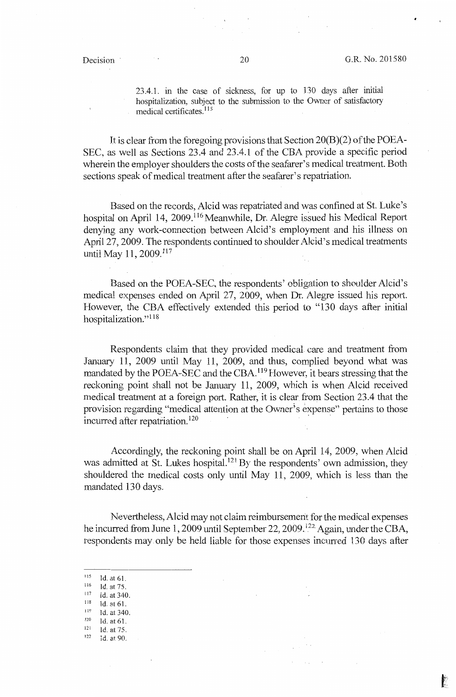23.4.1. in the case of sickness, for up to 130 days after initial hospitalization, subject to the submission to the Owner of satisfactory medical certificates. 115

It is clear from the foregoing provisions that Section 20(B)(2) of the POEA-SEC, as well as Sections 23.4 and 23.4.1 of the CBA provide a specific period wherein the employer shoulders the costs of the seafarer's medical treatment. Both sections speak of medical treatment after the seafarer's repatriation.

Based on the records, Alcid was repatriated and was confined at St. Luke's hospital on April 14, 2009.<sup>116</sup> Meanwhile, Dr. Alegre issued his Medical Report denying any work-connection between Alcid's employment and his illness on April 27, 2009. The respondents continued to shoulder Alcid's medical treatments until May 11, 2009.<sup>117</sup>

Based on the POEA-SEC, the respondents' obligation to shoulder Alcid's medical expenses ended on April 27, 2009, when Dr. Alegre issued his report. However, the CBA effectively extended this period to "130 days after initial hospitalization."<sup>118</sup>

Respondents claim that they provided medical. care and treatment from January 11, 2009 until May 11, 2009, and thus, complied beyond what was mandated by the POEA-SEC and the CBA.<sup>119</sup> However, it bears stressing that the reckoning point shall not be January 11, 2009, which is when Alcid received medical treatment at a foreign port. Rather, it is clear from Section 23 .4 that the provision regarding "medical attention at the Owner's expense" pertains to those incurred after repatriation.<sup>120</sup>

Accordingly, the reckoning point shall be on April 14, 2009, when Alcid was admitted at St. Lukes hospital.<sup>121</sup> By the respondents' own admission, they shouldered the medical costs only until May 11, 2009, which is less than the mandated 130 days.

Nevertheless, Alcid may not claim reimbursement for the medical expenses he incurred from June 1, 2009 until September 22, 2009.<sup>122</sup> Again, under the CBA, respondents may.only be held liable for those expenses incurred 130 days after

- $\frac{115}{116}$  Id. at 61.
- $\frac{116}{117}$  Id. at 75.
- $117$  Id. at 340.
- $\frac{118}{119}$  Id. at 61.
- $119$  Id. at 340.
- $120$  Id. at 61.
- $121$  Id. at 75.<br> $122$  Id. at 90.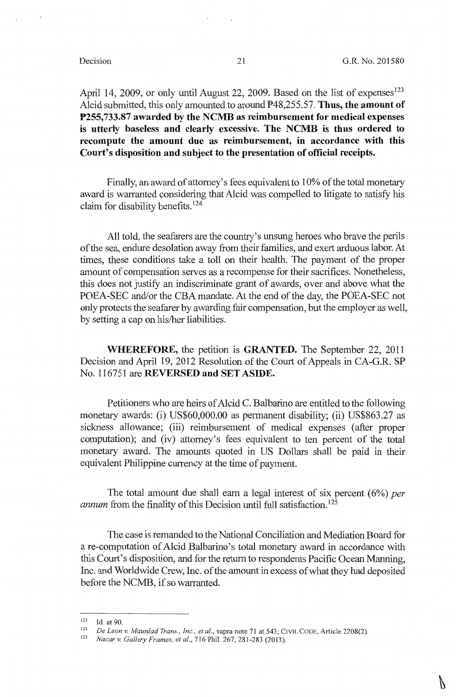April 14, 2009, or only until August 22, 2009. Based on the list of expenses<sup>123</sup> Alcid submitted, this only amounted to around  $\overline{P}48,255.57$ . Thus, the amount of **P255,733.87 awarded by the NCMB as reimbursement for medical expenses**  is **utterly baseless and clearly excessive. The NCMB** is **thus ordered to recompute the amount due as reimbursement, in accordance with this Court's disposition and subject to the presentation of official receipts.** 

Finally, an award of attorney's fees equivalent to 10% of the total monetary award is warranted considering that Alcid was compelled to litigate to satisfy his claim for disability benefits. <sup>124</sup>

All told, the seafarers are the country's unsung heroes who brave the perils of the sea, endure desolation away from their families, and exert arduous labor. At times, these conditions take a toll on their health. The payment of the proper amount of compensation serves as a recompense for their sacrifices. Nonetheless, this does not justify an indiscriminate grant of awards, over and above what the POEA-SEC and/or the CBA mandate. At the end of the day, the POEA-SEC not only protects the seafarer by awarding fair compensation, but the employer as well, by setting a cap on his/her liabilities.

**WHEREFORE,** the petition is **GRANTED.** The September 22, 2011 Decision and April 19, 2012 Resolution of the Court of Appeals in CA-G.R. SP No. 116751 are **REVERSED and SET ASIDE.** 

Petitioners who are heirs of Alcid C. Balbarino are entitled to the following monetary awards: (i) US\$60,000.00 as permanent disability; (ii) US\$863.27 as sickness allowance; (iii) reimbursement of medical expenses (after proper computation); and (iv) attorney's fees equivalent to ten percent of the total monetary award. The amounts quoted in US Dollars shall be paid in their equivalent Philippine currency at the time of payment.

The total amount due shall earn a legal interest of six percent (6%) *per annum* from the finality of this Decision until full satisfaction.<sup>125</sup>

The case is remanded to the National Conciliation and Mediation Board for a re-computation of Alcid Balbarino's total monetary award in accordance with this Court's disposition, and for the return to respondents Pacific Ocean Manning, Inc. and Worldwide Crew, Inc. of the amount in excess of what they had deposited before the NCMB, if so warranted.

<sup>123</sup> Id. at 90. 124 *De Leon v. Maunlad Trans., Inc., et al.,* supra note 71 at 543; CIVIL CODE, Article 2208(2). 125 *Nacar v. Gallery Frames, et al.,* 716 Phil. 267, 281-283 (2013).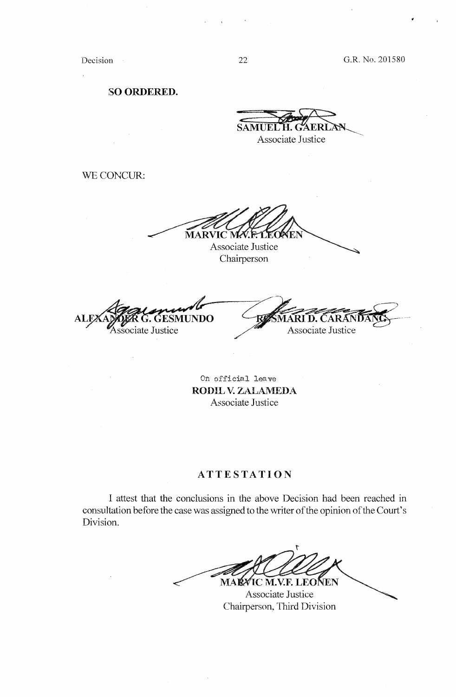Decision

 $\overline{1}$ 

**SO ORDERED.** 

 $\overbrace{\text{SAMUEL'H. GAERLAN}}$ 

Associate Justice

WE CONCUR:

**MAR** VIC M

Associate Justice Chairperson

ESMUNDO **ALEX** Associate Justice

RI D. CAI Associate Justice

On official leave **RODlL V. ZALAMEDA**  Associate Justice

# **ATTESTATION**

I attest that the conclusions in the above Decision had been reached in consultation before the case was assigned to the writer of the opinion of the Court's Division.

t MA**r⁄**ic M.V.f. LeoÑen

Associate Justice Chairperson, Third Division